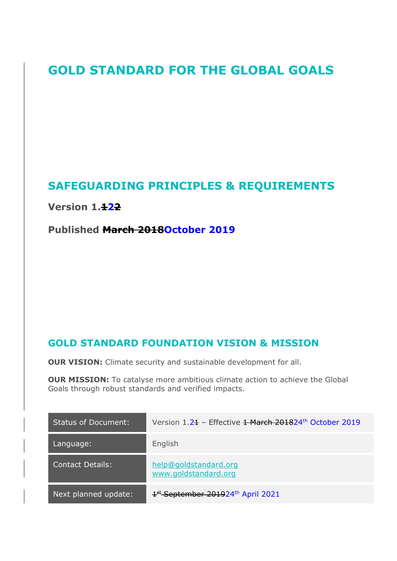# **GOLD STANDARD FOR THE GLOBAL GOALS**

# **SAFEGUARDING PRINCIPLES & REQUIREMENTS**

**Version 1.122**

**Published March 2018October 2019**

## **GOLD STANDARD FOUNDATION VISION & MISSION**

**OUR VISION:** Climate security and sustainable development for all.

**OUR MISSION:** To catalyse more ambitious climate action to achieve the Global Goals through robust standards and verified impacts.

| <b>Status of Document:</b> | Version 1.21 - Effective 1 March 201824th October 2019    |
|----------------------------|-----------------------------------------------------------|
| Language:                  | English                                                   |
| <b>Contact Details:</b>    | help@goldstandard.org<br>www.goldstandard.org             |
| Next planned update:       | 1 <sup>st</sup> September 201924 <sup>th</sup> April 2021 |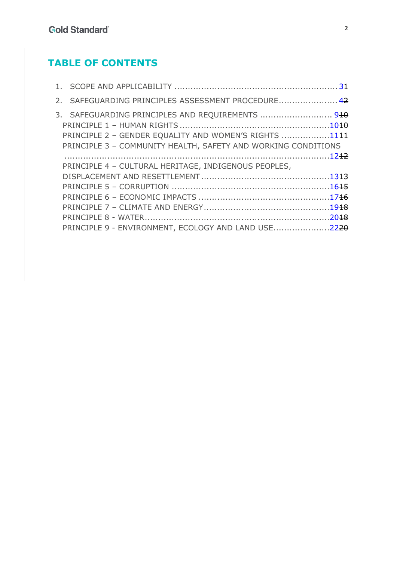# **TABLE OF CONTENTS**

| 2. SAFEGUARDING PRINCIPLES ASSESSMENT PROCEDURE 42                                                                                                                         |  |
|----------------------------------------------------------------------------------------------------------------------------------------------------------------------------|--|
| 3. SAFEGUARDING PRINCIPLES AND REQUIREMENTS  910<br>PRINCIPLE 2 - GENDER EQUALITY AND WOMEN'S RIGHTS 1144<br>PRINCIPLE 3 - COMMUNITY HEALTH, SAFETY AND WORKING CONDITIONS |  |
| PRINCIPLE 4 - CULTURAL HERITAGE, INDIGENOUS PEOPLES,                                                                                                                       |  |
|                                                                                                                                                                            |  |
|                                                                                                                                                                            |  |
|                                                                                                                                                                            |  |
|                                                                                                                                                                            |  |
|                                                                                                                                                                            |  |
| PRINCIPLE 9 - ENVIRONMENT, ECOLOGY AND LAND USE2220                                                                                                                        |  |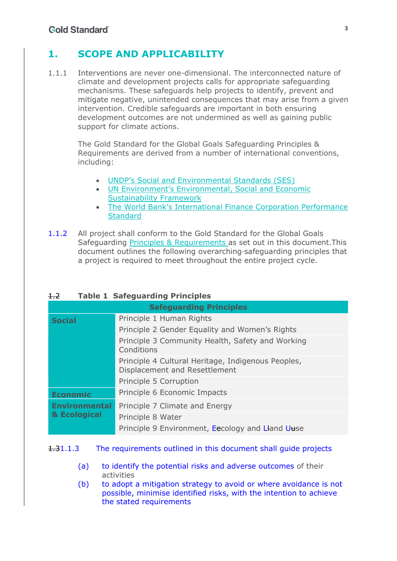## **1. SCOPE AND APPLICABILITY**

1.1.1 Interventions are never one-dimensional. The interconnected nature of climate and development projects calls for appropriate safeguarding mechanisms. These safeguards help projects to identify, prevent and mitigate negative, unintended consequences that may arise from a given intervention. Credible safeguards are important in both ensuring development outcomes are not undermined as well as gaining public support for climate actions.

The Gold Standard for the Global Goals Safeguarding Principles & Requirements are derived from a number of international conventions, including:

- UNDP's Social and Environmental Standards (SES)
- UN Environment's Environmental, Social and Economic Sustainability Framework
- The World Bank's International Finance Corporation Performance **Standard**
- 1.1.2 All project shall conform to the Gold Standard for the Global Goals Safeguarding Principles & Requirements as set out in this document.This document outlines the following overarching-safeguarding principles that a project is required to meet throughout the entire project cycle.

#### 1.2 **Table 1 Safeguarding Principles**

| <b>Safeguarding Principles</b> |                                                                                     |  |  |
|--------------------------------|-------------------------------------------------------------------------------------|--|--|
| <b>Social</b>                  | Principle 1 Human Rights                                                            |  |  |
|                                | Principle 2 Gender Equality and Women's Rights                                      |  |  |
|                                | Principle 3 Community Health, Safety and Working<br>Conditions                      |  |  |
|                                | Principle 4 Cultural Heritage, Indigenous Peoples,<br>Displacement and Resettlement |  |  |
|                                | Principle 5 Corruption                                                              |  |  |
| <b>Economic</b>                | Principle 6 Economic Impacts                                                        |  |  |
| <b>Environmental</b>           | Principle 7 Climate and Energy                                                      |  |  |
| & Ecological                   | Principle 8 Water                                                                   |  |  |
|                                | Principle 9 Environment, Eecology and Lland Uuse                                    |  |  |

#### 1.31.1.3 The requirements outlined in this document shall guide projects

- (a) to identify the potential risks and adverse outcomes of their activities
- (b) to adopt a mitigation strategy to avoid or where avoidance is not possible, minimise identified risks, with the intention to achieve the stated requirements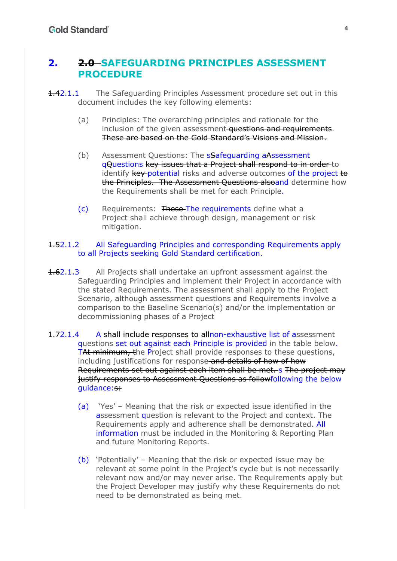### **2. 2.0 SAFEGUARDING PRINCIPLES ASSESSMENT PROCEDURE**

- 1.42.1.1 The Safeguarding Principles Assessment procedure set out in this document includes the key following elements:
	- (a) Principles: The overarching principles and rationale for the inclusion of the given assessment **questions and requirements**. These are based on the Gold Standard's Visions and Mission.
	- (b) Assessment Questions: The **sSafeguarding aAssessment** qQuestions key issues that a Project shall respond to in order to identify key-potential risks and adverse outcomes of the project to the Principles. The Assessment Questions alsoand determine how the Requirements shall be met for each Principle.
	- (c) Requirements: These The requirements define what a Project shall achieve through design, management or risk mitigation.

#### 1.52.1.2 All Safeguarding Principles and corresponding Requirements apply to all Projects seeking Gold Standard certification.

- **1.62.1.3** All Projects shall undertake an upfront assessment against the Safeguarding Principles and implement their Project in accordance with the stated Requirements. The assessment shall apply to the Project Scenario, although assessment questions and Requirements involve a comparison to the Baseline Scenario(s) and/or the implementation or decommissioning phases of a Project
- 1.72.1.4 A shall include responses to allnon-exhaustive list of assessment questions set out against each Principle is provided in the table below. TAt minimum, the Project shall provide responses to these questions, including justifications for response and details of how of how Requirements set out against each item shall be met. s The project may justify responses to Assessment Questions as followfollowing the below guidance:s:
	- (a) 'Yes' Meaning that the risk or expected issue identified in the assessment question is relevant to the Project and context. The Requirements apply and adherence shall be demonstrated. All information must be included in the Monitoring & Reporting Plan and future Monitoring Reports.
	- (b) 'Potentially' Meaning that the risk or expected issue may be relevant at some point in the Project's cycle but is not necessarily relevant now and/or may never arise. The Requirements apply but the Project Developer may justify why these Requirements do not need to be demonstrated as being met.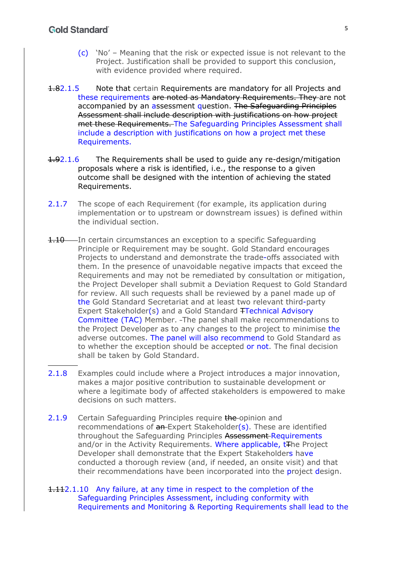- (c) 'No' Meaning that the risk or expected issue is not relevant to the Project. Justification shall be provided to support this conclusion, with evidence provided where required.
- 1.82.1.5 Note that certain Requirements are mandatory for all Projects and these requirements are noted as Mandatory Requirements. They are not accompanied by an assessment question. The Safeguarding Principles Assessment shall include description with justifications on how project met these Requirements. The Safeguarding Principles Assessment shall include a description with justifications on how a project met these Requirements.
- 1.92.1.6 The Requirements shall be used to guide any re-design/mitigation proposals where a risk is identified, i.e., the response to a given outcome shall be designed with the intention of achieving the stated Requirements.
- 2.1.7 The scope of each Requirement (for example, its application during implementation or to upstream or downstream issues) is defined within the individual section.
- 1.10 In certain circumstances an exception to a specific Safeguarding Principle or Requirement may be sought. Gold Standard encourages Projects to understand and demonstrate the trade-offs associated with them. In the presence of unavoidable negative impacts that exceed the Requirements and may not be remediated by consultation or mitigation, the Project Developer shall submit a Deviation Request to Gold Standard for review. All such requests shall be reviewed by a panel made up of the Gold Standard Secretariat and at least two relevant third-party Expert Stakeholder(s) and a Gold Standard TTechnical Advisory Committee (TAC) Member. The panel shall make recommendations to the Project Developer as to any changes to the project to minimise the adverse outcomes. The panel will also recommend to Gold Standard as to whether the exception should be accepted or not. The final decision shall be taken by Gold Standard.
- 2.1.8 Examples could include where a Project introduces a major innovation, makes a major positive contribution to sustainable development or where a legitimate body of affected stakeholders is empowered to make decisions on such matters.
- 2.1.9 Certain Safeguarding Principles require the opinion and recommendations of  $an$ -Expert Stakeholder( $s$ ). These are identified throughout the Safeguarding Principles Assessment Requirements and/or in the Activity Requirements. Where applicable, t<sub>The Project</sub> Developer shall demonstrate that the Expert Stakeholders have conducted a thorough review (and, if needed, an onsite visit) and that their recommendations have been incorporated into the project design.

1.112.1.10 Any failure, at any time in respect to the completion of the Safeguarding Principles Assessment, including conformity with Requirements and Monitoring & Reporting Requirements shall lead to the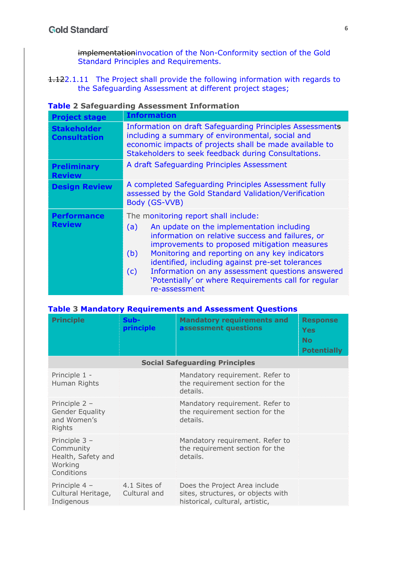implementationinvocation of the Non-Conformity section of the Gold Standard Principles and Requirements.

1.122.1.11 The Project shall provide the following information with regards to the Safeguarding Assessment at different project stages;

| <b>Project stage</b>                      | <b>Information</b>                                                                                                                                                                                                                                                                                                                                                                                                                            |  |  |
|-------------------------------------------|-----------------------------------------------------------------------------------------------------------------------------------------------------------------------------------------------------------------------------------------------------------------------------------------------------------------------------------------------------------------------------------------------------------------------------------------------|--|--|
| <b>Stakeholder</b><br><b>Consultation</b> | Information on draft Safeguarding Principles Assessments<br>including a summary of environmental, social and<br>economic impacts of projects shall be made available to<br>Stakeholders to seek feedback during Consultations.                                                                                                                                                                                                                |  |  |
| <b>Preliminary</b><br><b>Review</b>       | A draft Safeguarding Principles Assessment                                                                                                                                                                                                                                                                                                                                                                                                    |  |  |
| <b>Design Review</b>                      | A completed Safeguarding Principles Assessment fully<br>assessed by the Gold Standard Validation/Verification<br>Body (GS-VVB)                                                                                                                                                                                                                                                                                                                |  |  |
| <b>Performance</b><br><b>Review</b>       | The monitoring report shall include:<br>An update on the implementation including<br>(a)<br>information on relative success and failures, or<br>improvements to proposed mitigation measures<br>Monitoring and reporting on any key indicators<br>(b)<br>identified, including against pre-set tolerances<br>Information on any assessment questions answered<br>(c)<br>'Potentially' or where Requirements call for regular<br>re-assessment |  |  |

#### **Table 2 Safeguarding Assessment Information**

|  | <b>Table 3 Mandatory Requirements and Assessment Questions</b> |  |
|--|----------------------------------------------------------------|--|
|--|----------------------------------------------------------------|--|

| <b>Principle</b>                                                          | Sub-<br>principle                     | <b>Mandatory requirements and</b><br>assessment questions                                              | <b>Response</b><br>Yes<br><b>No</b><br><b>Potentially</b> |  |
|---------------------------------------------------------------------------|---------------------------------------|--------------------------------------------------------------------------------------------------------|-----------------------------------------------------------|--|
|                                                                           | <b>Social Safeguarding Principles</b> |                                                                                                        |                                                           |  |
| Principle 1 -<br>Human Rights                                             |                                       | Mandatory requirement. Refer to<br>the requirement section for the<br>details.                         |                                                           |  |
| Principle 2 -<br><b>Gender Equality</b><br>and Women's<br>Rights          |                                       | Mandatory requirement. Refer to<br>the requirement section for the<br>details.                         |                                                           |  |
| Principle 3 -<br>Community<br>Health, Safety and<br>Working<br>Conditions |                                       | Mandatory requirement. Refer to<br>the requirement section for the<br>details.                         |                                                           |  |
| Principle 4 -<br>Cultural Heritage,<br>Indigenous                         | 4.1 Sites of<br>Cultural and          | Does the Project Area include<br>sites, structures, or objects with<br>historical, cultural, artistic, |                                                           |  |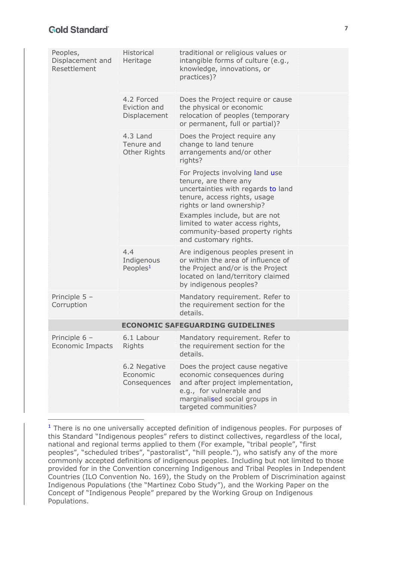| Peoples,<br>Displacement and<br>Resettlement | Historical<br>Heritage                     | traditional or religious values or<br>intangible forms of culture (e.g.,<br>knowledge, innovations, or<br>practices)?                                                                      |  |
|----------------------------------------------|--------------------------------------------|--------------------------------------------------------------------------------------------------------------------------------------------------------------------------------------------|--|
|                                              | 4.2 Forced<br>Eviction and<br>Displacement | Does the Project require or cause<br>the physical or economic<br>relocation of peoples (temporary<br>or permanent, full or partial)?                                                       |  |
|                                              | 4.3 Land<br>Tenure and<br>Other Rights     | Does the Project require any<br>change to land tenure<br>arrangements and/or other<br>rights?                                                                                              |  |
|                                              |                                            | For Projects involving land use<br>tenure, are there any<br>uncertainties with regards to land<br>tenure, access rights, usage<br>rights or land ownership?                                |  |
|                                              |                                            | Examples include, but are not<br>limited to water access rights,<br>community-based property rights<br>and customary rights.                                                               |  |
|                                              | 4.4<br>Indigenous<br>Peoples $1$           | Are indigenous peoples present in<br>or within the area of influence of<br>the Project and/or is the Project<br>located on land/territory claimed<br>by indigenous peoples?                |  |
| Principle $5 -$<br>Corruption                |                                            | Mandatory requirement. Refer to<br>the requirement section for the<br>details.                                                                                                             |  |
| <b>ECONOMIC SAFEGUARDING GUIDELINES</b>      |                                            |                                                                                                                                                                                            |  |
| Principle $6 -$<br>Economic Impacts Rights   | 6.1 Labour                                 | Mandatory requirement. Refer to<br>the requirement section for the<br>details.                                                                                                             |  |
|                                              | 6.2 Negative<br>Economic<br>Consequences   | Does the project cause negative<br>economic consequences during<br>and after project implementation,<br>e.g., for vulnerable and<br>marginalised social groups in<br>targeted communities? |  |

 $1$  There is no one universally accepted definition of indigenous peoples. For purposes of this Standard "Indigenous peoples" refers to distinct collectives, regardless of the local, national and regional terms applied to them (For example, "tribal people", "first peoples", "scheduled tribes", "pastoralist", "hill people."), who satisfy any of the more commonly accepted definitions of indigenous peoples. Including but not limited to those provided for in the Convention concerning Indigenous and Tribal Peoples in Independent Countries (ILO Convention No. 169), the Study on the Problem of Discrimination against Indigenous Populations (the "Martinez Cobo Study"), and the Working Paper on the Concept of "Indigenous People" prepared by the Working Group on Indigenous Populations.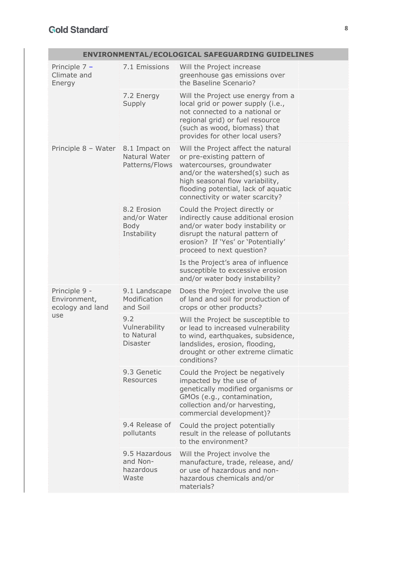| ENVIRONMENTAL/ECOLOGICAL SAFEGUARDING GUIDELINES  |                                                           |                                                                                                                                                                                                                                                |  |
|---------------------------------------------------|-----------------------------------------------------------|------------------------------------------------------------------------------------------------------------------------------------------------------------------------------------------------------------------------------------------------|--|
| Principle $7 -$<br>Climate and<br>Energy          | 7.1 Emissions                                             | Will the Project increase<br>greenhouse gas emissions over<br>the Baseline Scenario?                                                                                                                                                           |  |
|                                                   | 7.2 Energy<br>Supply                                      | Will the Project use energy from a<br>local grid or power supply (i.e.,<br>not connected to a national or<br>regional grid) or fuel resource<br>(such as wood, biomass) that<br>provides for other local users?                                |  |
| Principle 8 - Water                               | 8.1 Impact on<br>Natural Water<br>Patterns/Flows          | Will the Project affect the natural<br>or pre-existing pattern of<br>watercourses, groundwater<br>and/or the watershed(s) such as<br>high seasonal flow variability,<br>flooding potential, lack of aquatic<br>connectivity or water scarcity? |  |
|                                                   | 8.2 Erosion<br>and/or Water<br><b>Body</b><br>Instability | Could the Project directly or<br>indirectly cause additional erosion<br>and/or water body instability or<br>disrupt the natural pattern of<br>erosion? If 'Yes' or 'Potentially'<br>proceed to next question?                                  |  |
|                                                   |                                                           | Is the Project's area of influence<br>susceptible to excessive erosion<br>and/or water body instability?                                                                                                                                       |  |
| Principle 9 -<br>Environment,<br>ecology and land | 9.1 Landscape<br>Modification<br>and Soil                 | Does the Project involve the use<br>of land and soil for production of<br>crops or other products?                                                                                                                                             |  |
| use                                               | 9.2<br>Vulnerability<br>to Natural<br><b>Disaster</b>     | Will the Project be susceptible to<br>or lead to increased vulnerability<br>to wind, earthquakes, subsidence,<br>landslides, erosion, flooding,<br>drought or other extreme climatic<br>conditions?                                            |  |
|                                                   | 9.3 Genetic<br>Resources                                  | Could the Project be negatively<br>impacted by the use of<br>genetically modified organisms or<br>GMOs (e.g., contamination,<br>collection and/or harvesting,<br>commercial development)?                                                      |  |
|                                                   | 9.4 Release of<br>pollutants                              | Could the project potentially<br>result in the release of pollutants<br>to the environment?                                                                                                                                                    |  |
|                                                   | 9.5 Hazardous<br>and Non-<br>hazardous<br>Waste           | Will the Project involve the<br>manufacture, trade, release, and/<br>or use of hazardous and non-<br>hazardous chemicals and/or<br>materials?                                                                                                  |  |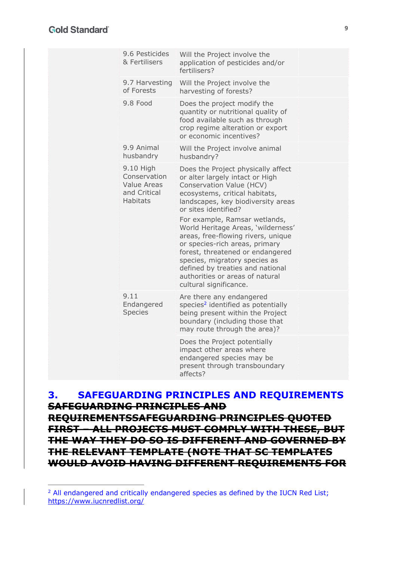|  | 9.6 Pesticides<br>& Fertilisers                                      | Will the Project involve the<br>application of pesticides and/or<br>fertilisers?                                                                                                                                                                                                                                                                                                                                                                                                                                       |  |
|--|----------------------------------------------------------------------|------------------------------------------------------------------------------------------------------------------------------------------------------------------------------------------------------------------------------------------------------------------------------------------------------------------------------------------------------------------------------------------------------------------------------------------------------------------------------------------------------------------------|--|
|  | 9.7 Harvesting<br>of Forests                                         | Will the Project involve the<br>harvesting of forests?                                                                                                                                                                                                                                                                                                                                                                                                                                                                 |  |
|  | 9.8 Food                                                             | Does the project modify the<br>quantity or nutritional quality of<br>food available such as through<br>crop regime alteration or export<br>or economic incentives?                                                                                                                                                                                                                                                                                                                                                     |  |
|  | 9.9 Animal<br>husbandry                                              | Will the Project involve animal<br>husbandry?                                                                                                                                                                                                                                                                                                                                                                                                                                                                          |  |
|  | 9.10 High<br>Conservation<br>Value Areas<br>and Critical<br>Habitats | Does the Project physically affect<br>or alter largely intact or High<br>Conservation Value (HCV)<br>ecosystems, critical habitats,<br>landscapes, key biodiversity areas<br>or sites identified?<br>For example, Ramsar wetlands,<br>World Heritage Areas, 'wilderness'<br>areas, free-flowing rivers, unique<br>or species-rich areas, primary<br>forest, threatened or endangered<br>species, migratory species as<br>defined by treaties and national<br>authorities or areas of natural<br>cultural significance. |  |
|  | 9.11<br>Endangered<br><b>Species</b>                                 | Are there any endangered<br>species <sup>2</sup> identified as potentially<br>being present within the Project<br>boundary (including those that<br>may route through the area)?                                                                                                                                                                                                                                                                                                                                       |  |
|  |                                                                      | Does the Project potentially<br>impact other areas where<br>endangered species may be<br>present through transboundary<br>affects?                                                                                                                                                                                                                                                                                                                                                                                     |  |
|  |                                                                      |                                                                                                                                                                                                                                                                                                                                                                                                                                                                                                                        |  |

**3. SAFEGUARDING PRINCIPLES AND REQUIREMENTS SAFEGUARDING PRINCIPLES AND REQUIREMENTSSAFEGUARDING PRINCIPLES QUOTED FIRST – ALL PROJECTS MUST COMPLY WITH THESE, BUT THE WAY THEY DO SO IS DIFFERENT AND GOVERNED BY THE RELEVANT TEMPLATE (NOTE THAT SC TEMPLATES WOULD AVOID HAVING DIFFERENT REQUIREMENTS FOR** 

<sup>&</sup>lt;sup>2</sup> All endangered and critically endangered species as defined by the IUCN Red List; https://www.iucnredlist.org/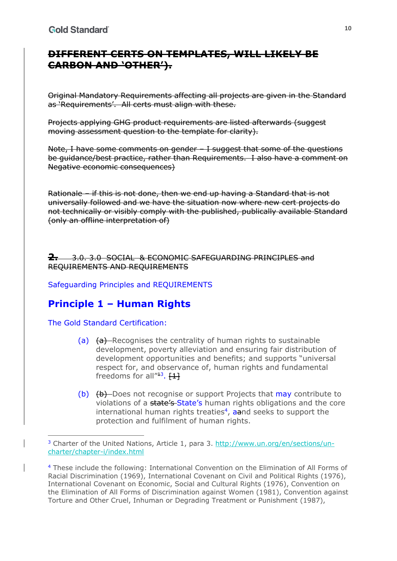## **DIFFERENT CERTS ON TEMPLATES, WILL LIKELY BE CARBON AND 'OTHER').**

Original Mandatory Requirements affecting all projects are given in the Standard as 'Requirements'. All certs must align with these.

Projects applying GHG product requirements are listed afterwards (suggest moving assessment question to the template for clarity).

Note, I have some comments on gender – I suggest that some of the questions be guidance/best practice, rather than Requirements. I also have a comment on Negative economic consequences)

Rationale – if this is not done, then we end up having a Standard that is not universally followed and we have the situation now where new cert projects do not technically or visibly comply with the published, publically available Standard (only an offline interpretation of)

**2.** 3.0. 3.0 SOCIAL & ECONOMIC SAFEGUARDING PRINCIPLES and REQUIREMENTS AND REQUIREMENTS

Safeguarding Principles and REQUIREMENTS

# **Principle 1 – Human Rights**

The Gold Standard Certification:

- (a) (a) Recognises the centrality of human rights to sustainable development, poverty alleviation and ensuring fair distribution of development opportunities and benefits; and supports "universal respect for, and observance of, human rights and fundamental freedoms for all $^{\prime\prime 13}$ .  $\{1\}$
- (b) (b) Ooes not recognise or support Projects that may contribute to violations of a state's State's human rights obligations and the core international human rights treaties<sup>4</sup>, aand seeks to support the protection and fulfilment of human rights.

<sup>3</sup> Charter of the United Nations, Article 1, para 3. http://www.un.org/en/sections/uncharter/chapter-i/index.html

<sup>4</sup> These include the following: International Convention on the Elimination of All Forms of Racial Discrimination (1969), International Covenant on Civil and Political Rights (1976), International Covenant on Economic, Social and Cultural Rights (1976), Convention on the Elimination of All Forms of Discrimination against Women (1981), Convention against Torture and Other Cruel, Inhuman or Degrading Treatment or Punishment (1987),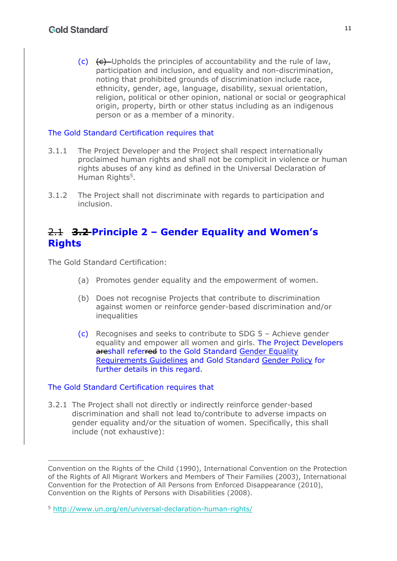$(c)$   $(e)$  -Upholds the principles of accountability and the rule of law, participation and inclusion, and equality and non-discrimination, noting that prohibited grounds of discrimination include race, ethnicity, gender, age, language, disability, sexual orientation, religion, political or other opinion, national or social or geographical origin, property, birth or other status including as an indigenous person or as a member of a minority.

#### The Gold Standard Certification requires that

- 3.1.1 The Project Developer and the Project shall respect internationally proclaimed human rights and shall not be complicit in violence or human rights abuses of any kind as defined in the Universal Declaration of Human Rights<sup>5</sup>.
- 3.1.2 The Project shall not discriminate with regards to participation and inclusion.

### 2.1 **3.2 Principle 2 – Gender Equality and Women's Rights**

The Gold Standard Certification:

- (a) Promotes gender equality and the empowerment of women.
- (b) Does not recognise Projects that contribute to discrimination against women or reinforce gender-based discrimination and/or inequalities
- (c) Recognises and seeks to contribute to SDG 5 Achieve gender equality and empower all women and girls. The Project Developers areshall referred to the Gold Standard Gender Equality Requirements Guidelines and Gold Standard Gender Policy for further details in this regard.

#### The Gold Standard Certification requires that

3.2.1 The Project shall not directly or indirectly reinforce gender-based discrimination and shall not lead to/contribute to adverse impacts on gender equality and/or the situation of women. Specifically, this shall include (not exhaustive):

Convention on the Rights of the Child (1990), International Convention on the Protection of the Rights of All Migrant Workers and Members of Their Families (2003), International Convention for the Protection of All Persons from Enforced Disappearance (2010), Convention on the Rights of Persons with Disabilities (2008).

<sup>5</sup> http://www.un.org/en/universal-declaration-human-rights/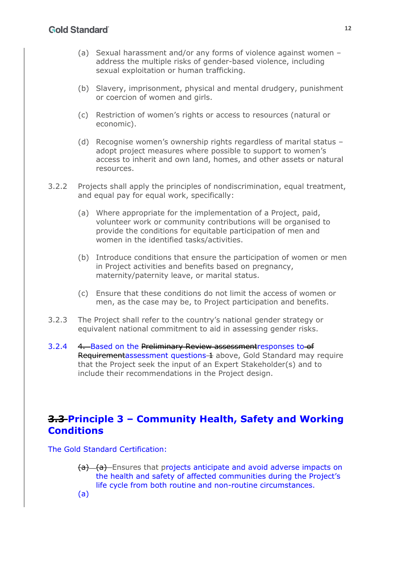- (a) Sexual harassment and/or any forms of violence against women address the multiple risks of gender-based violence, including sexual exploitation or human trafficking.
- (b) Slavery, imprisonment, physical and mental drudgery, punishment or coercion of women and girls.
- (c) Restriction of women's rights or access to resources (natural or economic).
- (d) Recognise women's ownership rights regardless of marital status adopt project measures where possible to support to women's access to inherit and own land, homes, and other assets or natural resources.
- 3.2.2 Projects shall apply the principles of nondiscrimination, equal treatment, and equal pay for equal work, specifically:
	- (a) Where appropriate for the implementation of a Project, paid, volunteer work or community contributions will be organised to provide the conditions for equitable participation of men and women in the identified tasks/activities.
	- (b) Introduce conditions that ensure the participation of women or men in Project activities and benefits based on pregnancy, maternity/paternity leave, or marital status.
	- (c) Ensure that these conditions do not limit the access of women or men, as the case may be, to Project participation and benefits.
- 3.2.3 The Project shall refer to the country's national gender strategy or equivalent national commitment to aid in assessing gender risks.
- 3.2.4 4. Based on the Preliminary Review assessmentresponses to of Requirementassessment questions 1 above, Gold Standard may require that the Project seek the input of an Expert Stakeholder(s) and to include their recommendations in the Project design.

## **3.3 Principle 3 – Community Health, Safety and Working Conditions**

The Gold Standard Certification:

- (a) (a) Ensures that projects anticipate and avoid adverse impacts on the health and safety of affected communities during the Project's life cycle from both routine and non-routine circumstances.
- (a)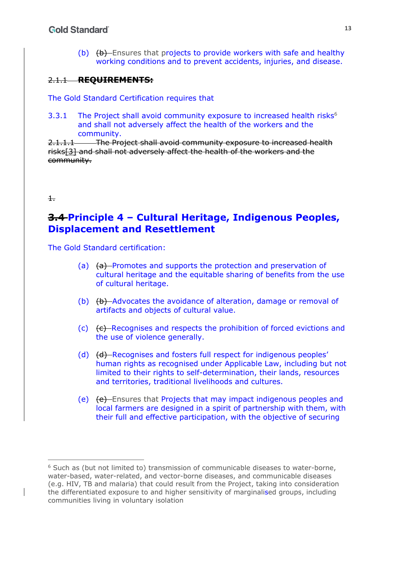(b)  $(b)$  Ensures that projects to provide workers with safe and healthy working conditions and to prevent accidents, injuries, and disease.

### 2.1.1 **REQUIREMENTS:**

The Gold Standard Certification requires that

3.3.1 The Project shall avoid community exposure to increased health risks $<sup>6</sup>$ </sup> and shall not adversely affect the health of the workers and the community.

2.1.1.1 The Project shall avoid community exposure to increased health risks[3] and shall not adversely affect the health of the workers and the community.

#### $\pm$

### **3.4 Principle 4 – Cultural Heritage, Indigenous Peoples, Displacement and Resettlement**

The Gold Standard certification:

- (a)  $(a)$  Promotes and supports the protection and preservation of cultural heritage and the equitable sharing of benefits from the use of cultural heritage.
- (b) (b) Advocates the avoidance of alteration, damage or removal of artifacts and objects of cultural value.
- (c) (c) Recognises and respects the prohibition of forced evictions and the use of violence generally.
- (d) (<del>d)</del> Recognises and fosters full respect for indigenous peoples' human rights as recognised under Applicable Law, including but not limited to their rights to self-determination, their lands, resources and territories, traditional livelihoods and cultures.
- (e) (e) Ensures that Projects that may impact indigenous peoples and local farmers are designed in a spirit of partnership with them, with their full and effective participation, with the objective of securing

 $6$  Such as (but not limited to) transmission of communicable diseases to water-borne, water-based, water-related, and vector-borne diseases, and communicable diseases (e.g. HIV, TB and malaria) that could result from the Project, taking into consideration the differentiated exposure to and higher sensitivity of marginalised groups, including communities living in voluntary isolation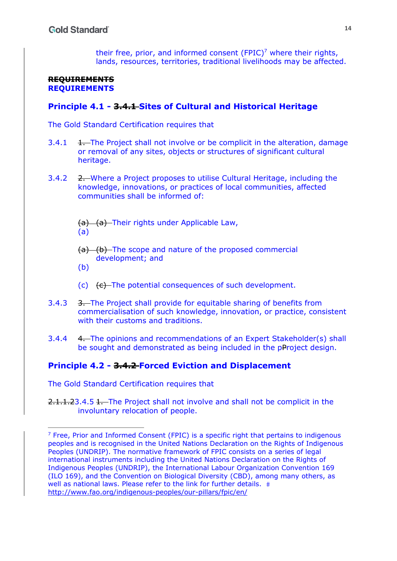their free, prior, and informed consent  $(FPIC)^7$  where their rights, lands, resources, territories, traditional livelihoods may be affected.

#### **REQUIREMENTS REQUIREMENTS**

### **Principle 4.1 - 3.4.1 Sites of Cultural and Historical Heritage**

The Gold Standard Certification requires that

- $3.4.1$   $1$ . The Project shall not involve or be complicit in the alteration, damage or removal of any sites, objects or structures of significant cultural heritage.
- 3.4.2 2. Where a Project proposes to utilise Cultural Heritage, including the knowledge, innovations, or practices of local communities, affected communities shall be informed of:
	- (a) (a) Their rights under Applicable Law, (a)
	- $(a)$  (b) The scope and nature of the proposed commercial development; and
	- $(b)$
	- (c)  $\left( \epsilon \right)$  The potential consequences of such development.
- 3.4.3 3. The Project shall provide for equitable sharing of benefits from commercialisation of such knowledge, innovation, or practice, consistent with their customs and traditions.
- 3.4.4 4. The opinions and recommendations of an Expert Stakeholder(s) shall be sought and demonstrated as being included in the pProject design.

### **Principle 4.2 - 3.4.2 Forced Eviction and Displacement**

The Gold Standard Certification requires that

2.1.1.23.4.5 1. The Project shall not involve and shall not be complicit in the involuntary relocation of people.

 $<sup>7</sup>$  Free, Prior and Informed Consent (FPIC) is a specific right that pertains to indigenous</sup> peoples and is recognised in the United Nations Declaration on the Rights of Indigenous Peoples (UNDRIP). The normative framework of FPIC consists on a series of legal international instruments including the United Nations Declaration on the Rights of Indigenous Peoples (UNDRIP), the International Labour Organization Convention 169 (ILO 169), and the Convention on Biological Diversity (CBD), among many others, as well as national laws. Please refer to the link for further details.  $#$ http://www.fao.org/indigenous-peoples/our-pillars/fpic/en/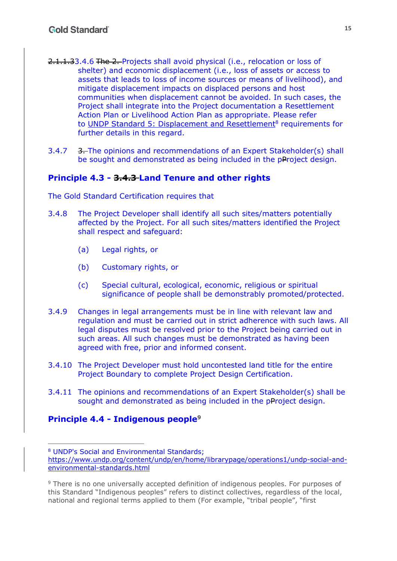- 2.1.1.33.4.6 The 2. Projects shall avoid physical (i.e., relocation or loss of shelter) and economic displacement (i.e., loss of assets or access to assets that leads to loss of income sources or means of livelihood), and mitigate displacement impacts on displaced persons and host communities when displacement cannot be avoided. In such cases, the Project shall integrate into the Project documentation a Resettlement Action Plan or Livelihood Action Plan as appropriate. Please refer to UNDP Standard 5: Displacement and Resettlement<sup>8</sup> requirements for further details in this regard.
- 3.4.7 3. The opinions and recommendations of an Expert Stakeholder(s) shall be sought and demonstrated as being included in the pProject design.

### **Principle 4.3 - 3.4.3 Land Tenure and other rights**

The Gold Standard Certification requires that

- 3.4.8 The Project Developer shall identify all such sites/matters potentially affected by the Project. For all such sites/matters identified the Project shall respect and safeguard:
	- (a) Legal rights, or
	- (b) Customary rights, or
	- (c) Special cultural, ecological, economic, religious or spiritual significance of people shall be demonstrably promoted/protected.
- 3.4.9 Changes in legal arrangements must be in line with relevant law and regulation and must be carried out in strict adherence with such laws. All legal disputes must be resolved prior to the Project being carried out in such areas. All such changes must be demonstrated as having been agreed with free, prior and informed consent.
- 3.4.10 The Project Developer must hold uncontested land title for the entire Project Boundary to complete Project Design Certification.
- 3.4.11 The opinions and recommendations of an Expert Stakeholder(s) shall be sought and demonstrated as being included in the pProject design.

### **Principle 4.4 - Indigenous people**<sup>9</sup>

<sup>8</sup> UNDP's Social and Environmental Standards;

https://www.undp.org/content/undp/en/home/librarypage/operations1/undp-social-andenvironmental-standards.html

<sup>&</sup>lt;sup>9</sup> There is no one universally accepted definition of indigenous peoples. For purposes of this Standard "Indigenous peoples" refers to distinct collectives, regardless of the local, national and regional terms applied to them (For example, "tribal people", "first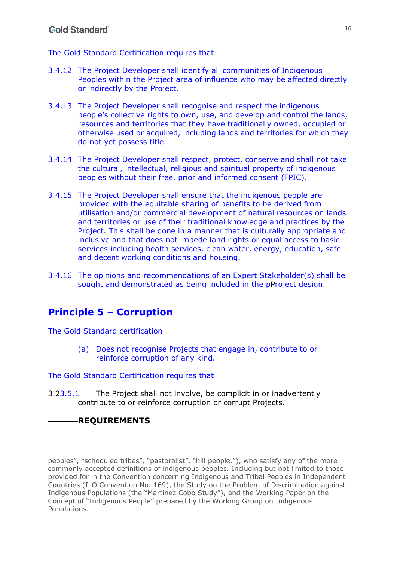The Gold Standard Certification requires that

- 3.4.12 The Project Developer shall identify all communities of Indigenous Peoples within the Project area of influence who may be affected directly or indirectly by the Project.
- 3.4.13 The Project Developer shall recognise and respect the indigenous people's collective rights to own, use, and develop and control the lands, resources and territories that they have traditionally owned, occupied or otherwise used or acquired, including lands and territories for which they do not yet possess title.
- 3.4.14 The Project Developer shall respect, protect, conserve and shall not take the cultural, intellectual, religious and spiritual property of indigenous peoples without their free, prior and informed consent (FPIC).
- 3.4.15 The Project Developer shall ensure that the indigenous people are provided with the equitable sharing of benefits to be derived from utilisation and/or commercial development of natural resources on lands and territories or use of their traditional knowledge and practices by the Project. This shall be done in a manner that is culturally appropriate and inclusive and that does not impede land rights or equal access to basic services including health services, clean water, energy, education, safe and decent working conditions and housing.
- 3.4.16 The opinions and recommendations of an Expert Stakeholder(s) shall be sought and demonstrated as being included in the pProject design.

# **Principle 5 – Corruption**

The Gold Standard certification

(a) Does not recognise Projects that engage in, contribute to or reinforce corruption of any kind.

The Gold Standard Certification requires that

3.23.5.1 The Project shall not involve, be complicit in or inadvertently contribute to or reinforce corruption or corrupt Projects.

### **REQUIREMENTS**

peoples", "scheduled tribes", "pastoralist", "hill people."), who satisfy any of the more commonly accepted definitions of indigenous peoples. Including but not limited to those provided for in the Convention concerning Indigenous and Tribal Peoples in Independent Countries (ILO Convention No. 169), the Study on the Problem of Discrimination against Indigenous Populations (the "Martinez Cobo Study"), and the Working Paper on the Concept of "Indigenous People" prepared by the Working Group on Indigenous Populations.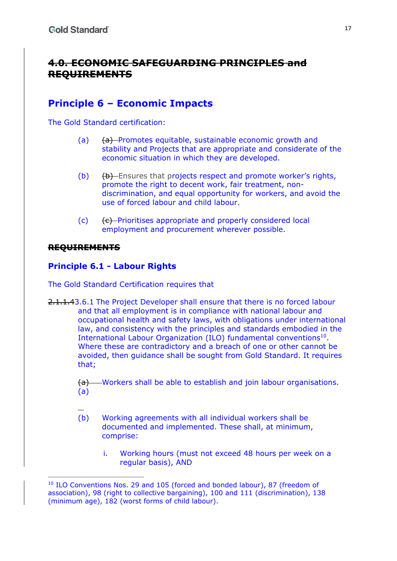## **4.0. ECONOMIC SAFEGUARDING PRINCIPLES and REQUIREMENTS**

## **Principle 6 – Economic Impacts**

The Gold Standard certification:

- (a) (a) Promotes equitable, sustainable economic growth and stability and Projects that are appropriate and considerate of the economic situation in which they are developed.
- $(b)$   $(b)$  Ensures that projects respect and promote worker's rights, promote the right to decent work, fair treatment, nondiscrimination, and equal opportunity for workers, and avoid the use of forced labour and child labour.
- $(c)$  (c)  $\left\{c\right\}$ -Prioritises appropriate and properly considered local employment and procurement wherever possible.

### **REQUIREMENTS**

### **Principle 6.1 - Labour Rights**

The Gold Standard Certification requires that

2.1.1.43.6.1 The Project Developer shall ensure that there is no forced labour and that all employment is in compliance with national labour and occupational health and safety laws, with obligations under international law, and consistency with the principles and standards embodied in the International Labour Organization (ILO) fundamental conventions<sup>10</sup>. Where these are contradictory and a breach of one or other cannot be avoided, then guidance shall be sought from Gold Standard. It requires that;

> (a) Workers shall be able to establish and join labour organisations. (a)

- (b) Working agreements with all individual workers shall be documented and implemented. These shall, at minimum, comprise:
	- i. Working hours (must not exceed 48 hours per week on a regular basis), AND

<sup>10</sup> ILO Conventions Nos. 29 and 105 (forced and bonded labour), 87 (freedom of association), 98 (right to collective bargaining), 100 and 111 (discrimination), 138 (minimum age), 182 (worst forms of child labour).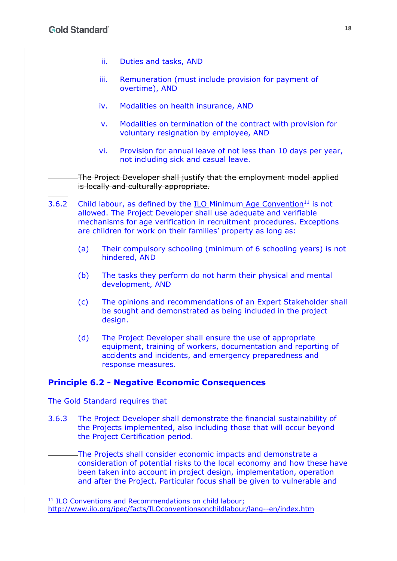- ii. Duties and tasks, AND
- iii. Remuneration (must include provision for payment of overtime), AND
- iv. Modalities on health insurance, AND
- v. Modalities on termination of the contract with provision for voluntary resignation by employee, AND
- vi. Provision for annual leave of not less than 10 days per year, not including sick and casual leave.

The Project Developer shall justify that the employment model applied is locally and culturally appropriate.

- 3.6.2 Child labour, as defined by the  $ILO$  Minimum Age Convention<sup>11</sup> is not allowed. The Project Developer shall use adequate and verifiable mechanisms for age verification in recruitment procedures. Exceptions are children for work on their families' property as long as:
	- (a) Their compulsory schooling (minimum of 6 schooling years) is not hindered, AND
	- (b) The tasks they perform do not harm their physical and mental development, AND
	- (c) The opinions and recommendations of an Expert Stakeholder shall be sought and demonstrated as being included in the project design.
	- (d) The Project Developer shall ensure the use of appropriate equipment, training of workers, documentation and reporting of accidents and incidents, and emergency preparedness and response measures.

### **Principle 6.2 - Negative Economic Consequences**

The Gold Standard requires that

3.6.3 The Project Developer shall demonstrate the financial sustainability of the Projects implemented, also including those that will occur beyond the Project Certification period.

The Projects shall consider economic impacts and demonstrate a consideration of potential risks to the local economy and how these have been taken into account in project design, implementation, operation and after the Project. Particular focus shall be given to vulnerable and

<sup>&</sup>lt;sup>11</sup> ILO Conventions and Recommendations on child labour: http://www.ilo.org/ipec/facts/ILOconventionsonchildlabour/lang--en/index.htm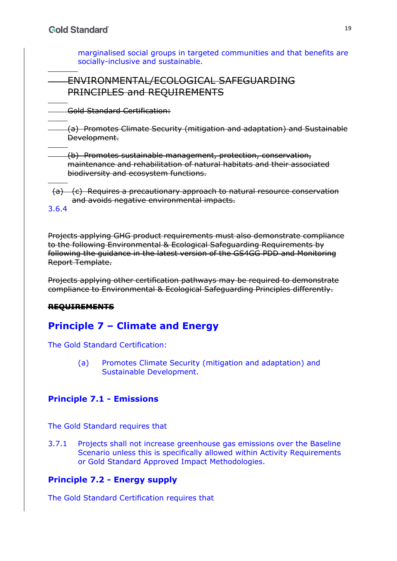marginalised social groups in targeted communities and that benefits are socially-inclusive and sustainable.

### ENVIRONMENTAL/ECOLOGICAL SAFEGUARDING PRINCIPLES and REQUIREMENTS

Gold Standard Certification:

(a) Promotes Climate Security (mitigation and adaptation) and Sustainable Development.

(b) Promotes sustainable management, protection, conservation, maintenance and rehabilitation of natural habitats and their associated biodiversity and ecosystem functions.

(a) (c) Requires a precautionary approach to natural resource conservation and avoids negative environmental impacts.

3.6.4

Projects applying GHG product requirements must also demonstrate compliance to the following Environmental & Ecological Safeguarding Requirements by following the guidance in the latest version of the GS4GG PDD and Monitoring Report Template.

Projects applying other certification pathways may be required to demonstrate compliance to Environmental & Ecological Safeguarding Principles differently.

### **REQUIREMENTS**

# **Principle 7 – Climate and Energy**

The Gold Standard Certification:

(a) Promotes Climate Security (mitigation and adaptation) and Sustainable Development.

### **Principle 7.1 - Emissions**

The Gold Standard requires that

3.7.1 Projects shall not increase greenhouse gas emissions over the Baseline Scenario unless this is specifically allowed within Activity Requirements or Gold Standard Approved Impact Methodologies.

### **Principle 7.2 - Energy supply**

The Gold Standard Certification requires that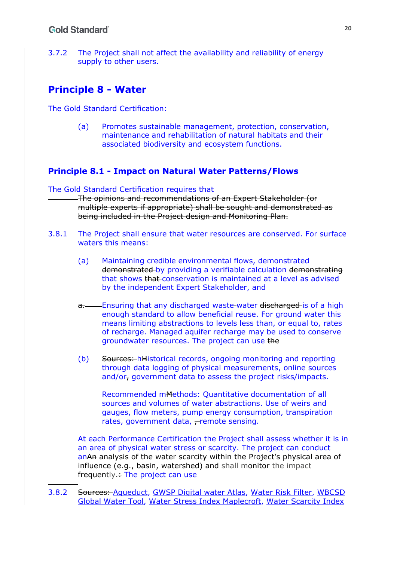#### **Gold Standard**

3.7.2 The Project shall not affect the availability and reliability of energy supply to other users.

### **Principle 8 - Water**

The Gold Standard Certification:

(a) Promotes sustainable management, protection, conservation, maintenance and rehabilitation of natural habitats and their associated biodiversity and ecosystem functions.

#### **Principle 8.1 - Impact on Natural Water Patterns/Flows**

#### The Gold Standard Certification requires that

The opinions and recommendations of an Expert Stakeholder (or multiple experts if appropriate) shall be sought and demonstrated as being included in the Project design and Monitoring Plan.

- 3.8.1 The Project shall ensure that water resources are conserved. For surface waters this means:
	- (a) Maintaining credible environmental flows, demonstrated demonstrated by providing a verifiable calculation demonstrating that shows that conservation is maintained at a level as advised by the independent Expert Stakeholder, and
	- a. Ensuring that any discharged waste-water discharged is of a high enough standard to allow beneficial reuse. For ground water this means limiting abstractions to levels less than, or equal to, rates of recharge. Managed aquifer recharge may be used to conserve groundwater resources. The project can use the
	- (b) Sources: hHistorical records, ongoing monitoring and reporting through data logging of physical measurements, online sources and/or, government data to assess the project risks/impacts.

Recommended mMethods: Quantitative documentation of all sources and volumes of water abstractions. Use of weirs and gauges, flow meters, pump energy consumption, transpiration rates, government data, -remote sensing.

At each Performance Certification the Project shall assess whether it is in an area of physical water stress or scarcity. The project can conduct anAn analysis of the water scarcity within the Project's physical area of influence (e.g., basin, watershed) and shall monitor the impact frequently.: The project can use

3.8.2 Sources: Aqueduct, GWSP Digital water Atlas, Water Risk Filter, WBCSD Global Water Tool, Water Stress Index Maplecroft, Water Scarcity Index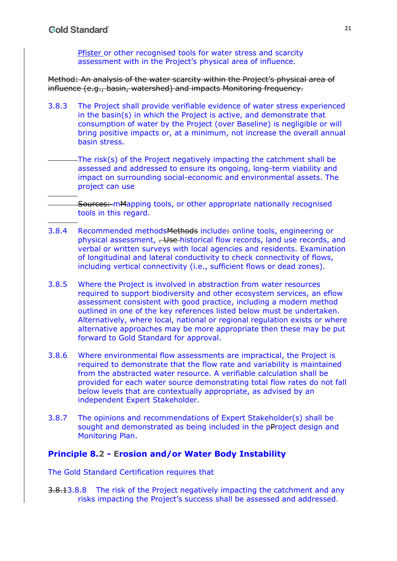Pfister or other recognised tools for water stress and scarcity assessment with in the Project's physical area of influence.

Method: An analysis of the water scarcity within the Project's physical area of influence (e.g., basin, watershed) and impacts Monitoring frequency.

3.8.3 The Project shall provide verifiable evidence of water stress experienced in the basin(s) in which the Project is active, and demonstrate that consumption of water by the Project (over Baseline) is negligible or will bring positive impacts or, at a minimum, not increase the overall annual basin stress.

The risk(s) of the Project negatively impacting the catchment shall be assessed and addressed to ensure its ongoing, long-term viability and impact on surrounding social-economic and environmental assets. The project can use

Sources: mMapping tools, or other appropriate nationally recognised tools in this regard.

- 3.8.4 Recommended methodsMethods include: online tools, engineering or physical assessment, . Use historical flow records, land use records, and verbal or written surveys with local agencies and residents. Examination of longitudinal and lateral conductivity to check connectivity of flows, including vertical connectivity (i.e., sufficient flows or dead zones).
- 3.8.5 Where the Project is involved in abstraction from water resources required to support biodiversity and other ecosystem services, an eflow assessment consistent with good practice, including a modern method outlined in one of the key references listed below must be undertaken. Alternatively, where local, national or regional regulation exists or where alternative approaches may be more appropriate then these may be put forward to Gold Standard for approval.
- 3.8.6 Where environmental flow assessments are impractical, the Project is required to demonstrate that the flow rate and variability is maintained from the abstracted water resource. A verifiable calculation shall be provided for each water source demonstrating total flow rates do not fall below levels that are contextually appropriate, as advised by an independent Expert Stakeholder.
- 3.8.7 The opinions and recommendations of Expert Stakeholder(s) shall be sought and demonstrated as being included in the pProject design and Monitoring Plan.

#### **Principle 8.2 - Erosion and/or Water Body Instability**

The Gold Standard Certification requires that

3.8.13.8.8 The risk of the Project negatively impacting the catchment and any risks impacting the Project's success shall be assessed and addressed.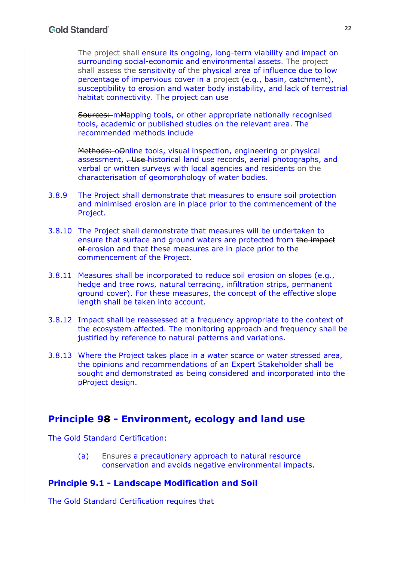The project shall ensure its ongoing, long-term viability and impact on surrounding social-economic and environmental assets. The project shall assess the sensitivity of the physical area of influence due to low percentage of impervious cover in a project (e.g., basin, catchment), susceptibility to erosion and water body instability, and lack of terrestrial habitat connectivity. The project can use

Sources: mMapping tools, or other appropriate nationally recognised tools, academic or published studies on the relevant area. The recommended methods include

Methods: oOnline tools, visual inspection, engineering or physical assessment, <del>Use historical land use records, aerial photographs, and</del> verbal or written surveys with local agencies and residents on the characterisation of geomorphology of water bodies.

- 3.8.9 The Project shall demonstrate that measures to ensure soil protection and minimised erosion are in place prior to the commencement of the Project.
- 3.8.10 The Project shall demonstrate that measures will be undertaken to ensure that surface and ground waters are protected from the impact of erosion and that these measures are in place prior to the commencement of the Project.
- 3.8.11 Measures shall be incorporated to reduce soil erosion on slopes (e.g., hedge and tree rows, natural terracing, infiltration strips, permanent ground cover). For these measures, the concept of the effective slope length shall be taken into account.
- 3.8.12 Impact shall be reassessed at a frequency appropriate to the context of the ecosystem affected. The monitoring approach and frequency shall be justified by reference to natural patterns and variations.
- 3.8.13 Where the Project takes place in a water scarce or water stressed area, the opinions and recommendations of an Expert Stakeholder shall be sought and demonstrated as being considered and incorporated into the pProject design.

### **Principle 98 - Environment, ecology and land use**

The Gold Standard Certification:

(a) Ensures a precautionary approach to natural resource conservation and avoids negative environmental impacts.

### **Principle 9.1 - Landscape Modification and Soil**

The Gold Standard Certification requires that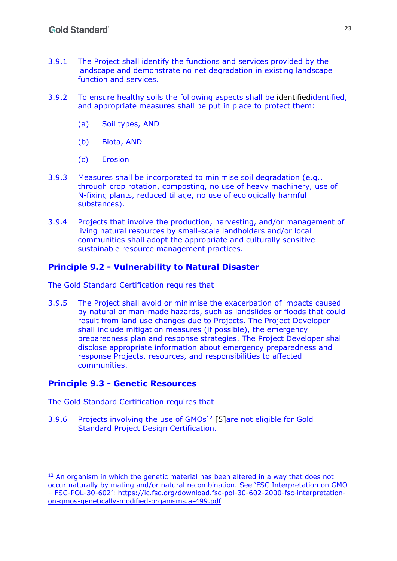- 3.9.1 The Project shall identify the functions and services provided by the landscape and demonstrate no net degradation in existing landscape function and services.
- 3.9.2 To ensure healthy soils the following aspects shall be identifiedidentified, and appropriate measures shall be put in place to protect them:
	- (a) Soil types, AND
	- (b) Biota, AND
	- (c) Erosion
- 3.9.3 Measures shall be incorporated to minimise soil degradation (e.g., through crop rotation, composting, no use of heavy machinery, use of N-fixing plants, reduced tillage, no use of ecologically harmful substances).
- 3.9.4 Projects that involve the production, harvesting, and/or management of living natural resources by small-scale landholders and/or local communities shall adopt the appropriate and culturally sensitive sustainable resource management practices.

### **Principle 9.2 - Vulnerability to Natural Disaster**

The Gold Standard Certification requires that

3.9.5 The Project shall avoid or minimise the exacerbation of impacts caused by natural or man-made hazards, such as landslides or floods that could result from land use changes due to Projects. The Project Developer shall include mitigation measures (if possible), the emergency preparedness plan and response strategies. The Project Developer shall disclose appropriate information about emergency preparedness and response Projects, resources, and responsibilities to affected communities.

### **Principle 9.3 - Genetic Resources**

The Gold Standard Certification requires that

3.9.6 Projects involving the use of GMOs<sup>12</sup> [5]are not eligible for Gold Standard Project Design Certification.

 $12$  An organism in which the genetic material has been altered in a way that does not occur naturally by mating and/or natural recombination. See 'FSC Interpretation on GMO – FSC-POL-30-602': https://ic.fsc.org/download.fsc-pol-30-602-2000-fsc-interpretationon-gmos-genetically-modified-organisms.a-499.pdf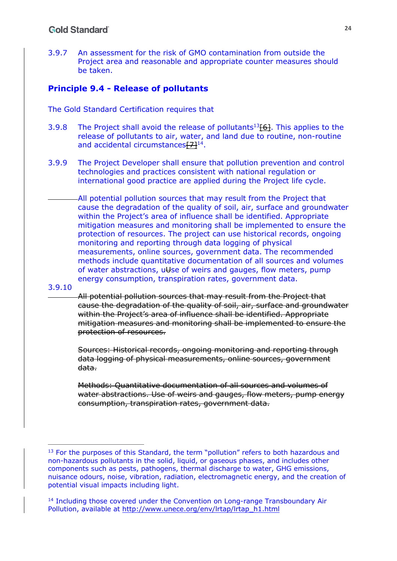3.9.7 An assessment for the risk of GMO contamination from outside the Project area and reasonable and appropriate counter measures should be taken.

### **Principle 9.4 - Release of pollutants**

The Gold Standard Certification requires that

- 3.9.8 The Project shall avoid the release of pollutants<sup>13</sup>[6]. This applies to the release of pollutants to air, water, and land due to routine, non-routine and accidental circumstances $[7]^{14}$ .
- 3.9.9 The Project Developer shall ensure that pollution prevention and control technologies and practices consistent with national regulation or international good practice are applied during the Project life cycle.
- All potential pollution sources that may result from the Project that cause the degradation of the quality of soil, air, surface and groundwater within the Project's area of influence shall be identified. Appropriate mitigation measures and monitoring shall be implemented to ensure the protection of resources. The project can use historical records, ongoing monitoring and reporting through data logging of physical measurements, online sources, government data. The recommended methods include quantitative documentation of all sources and volumes of water abstractions, uUse of weirs and gauges, flow meters, pump energy consumption, transpiration rates, government data.

#### 3.9.10

All potential pollution sources that may result from the Project that cause the degradation of the quality of soil, air, surface and groundwater within the Project's area of influence shall be identified. Appropriate mitigation measures and monitoring shall be implemented to ensure the protection of resources.

Sources: Historical records, ongoing monitoring and reporting through data logging of physical measurements, online sources, government data.

Methods: Quantitative documentation of all sources and volumes of water abstractions. Use of weirs and gauges, flow meters, pump energy consumption, transpiration rates, government data.

<sup>&</sup>lt;sup>13</sup> For the purposes of this Standard, the term "pollution" refers to both hazardous and non-hazardous pollutants in the solid, liquid, or gaseous phases, and includes other components such as pests, pathogens, thermal discharge to water, GHG emissions, nuisance odours, noise, vibration, radiation, electromagnetic energy, and the creation of potential visual impacts including light.

<sup>14</sup> Including those covered under the Convention on Long-range Transboundary Air Pollution, available at http://www.unece.org/env/lrtap/lrtap\_h1.html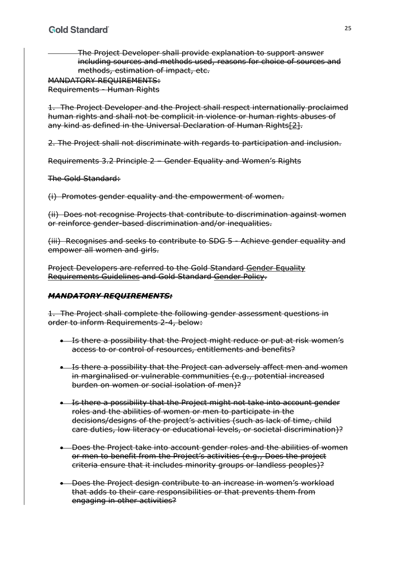The Project Developer shall provide explanation to support answer including sources and methods used, reasons for choice of sources and methods, estimation of impact, etc.

MANDATORY REQUIREMENTS: Requirements - Human Rights

1. The Project Developer and the Project shall respect internationally proclaimed human rights and shall not be complicit in violence or human rights abuses of any kind as defined in the Universal Declaration of Human Rights[2].

2. The Project shall not discriminate with regards to participation and inclusion.

Requirements 3.2 Principle 2 – Gender Equality and Women's Rights

The Gold Standard:

(i) Promotes gender equality and the empowerment of women.

(ii) Does not recognise Projects that contribute to discrimination against women or reinforce gender-based discrimination and/or inequalities.

(iii) Recognises and seeks to contribute to SDG 5 - Achieve gender equality and empower all women and girls.

Project Developers are referred to the Gold Standard Gender Equality Requirements Guidelines and Gold Standard Gender Policy.

### *MANDATORY REQUIREMENTS:*

1. The Project shall complete the following gender assessment questions in order to inform Requirements 2-4, below:

- **.** Is there a possibility that the Project might reduce or put at risk women's access to or control of resources, entitlements and benefits?
- **.** Is there a possibility that the Project can adversely affect men and women in marginalised or vulnerable communities (e.g., potential increased burden on women or social isolation of men)?
- Is there a possibility that the Project might not take into account gender roles and the abilities of women or men to participate in the decisions/designs of the project's activities (such as lack of time, child care duties, low literacy or educational levels, or societal discrimination)?
- . Does the Project take into account gender roles and the abilities of women or men to benefit from the Project's activities (e.g., Does the project criteria ensure that it includes minority groups or landless peoples)?
- . Does the Project design contribute to an increase in women's workload that adds to their care responsibilities or that prevents them from engaging in other activities?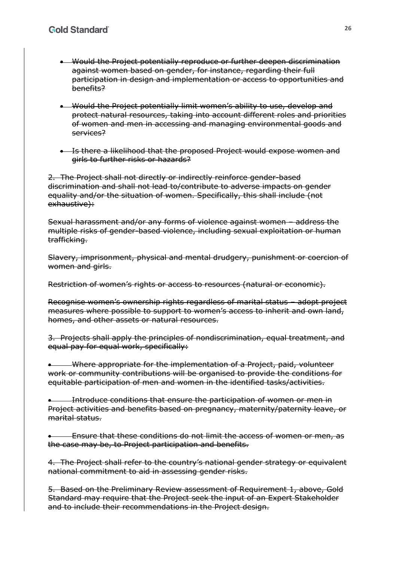- Would the Project potentially reproduce or further deepen discrimination against women based on gender, for instance, regarding their full participation in design and implementation or access to opportunities and benefits?
- Would the Project potentially limit women's ability to use, develop and protect natural resources, taking into account different roles and priorities of women and men in accessing and managing environmental goods and services?
- **.** Is there a likelihood that the proposed Project would expose women and girls to further risks or hazards?

2. The Project shall not directly or indirectly reinforce gender-based discrimination and shall not lead to/contribute to adverse impacts on gender equality and/or the situation of women. Specifically, this shall include (not exhaustive):

Sexual harassment and/or any forms of violence against women – address the multiple risks of gender-based violence, including sexual exploitation or human trafficking.

Slavery, imprisonment, physical and mental drudgery, punishment or coercion of women and girls.

Restriction of women's rights or access to resources (natural or economic).

Recognise women's ownership rights regardless of marital status – adopt project measures where possible to support to women's access to inherit and own land, homes, and other assets or natural resources.

3. Projects shall apply the principles of nondiscrimination, equal treatment, and equal pay for equal work, specifically:

 Where appropriate for the implementation of a Project, paid, volunteer work or community contributions will be organised to provide the conditions for equitable participation of men and women in the identified tasks/activities.

 Introduce conditions that ensure the participation of women or men in Project activities and benefits based on pregnancy, maternity/paternity leave, or marital status.

 Ensure that these conditions do not limit the access of women or men, as the case may be, to Project participation and benefits.

4. The Project shall refer to the country's national gender strategy or equivalent national commitment to aid in assessing gender risks.

5. Based on the Preliminary Review assessment of Requirement 1, above, Gold Standard may require that the Project seek the input of an Expert Stakeholder and to include their recommendations in the Project design.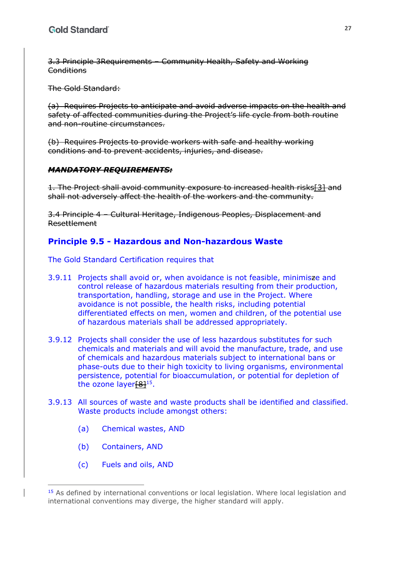3.3 Principle 3Requirements – Community Health, Safety and Working **Conditions** 

The Gold Standard:

(a) Requires Projects to anticipate and avoid adverse impacts on the health and safety of affected communities during the Project's life cycle from both routine and non-routine circumstances.

(b) Requires Projects to provide workers with safe and healthy working conditions and to prevent accidents, injuries, and disease.

#### *MANDATORY REQUIREMENTS:*

1. The Project shall avoid community exposure to increased health risks[3] and shall not adversely affect the health of the workers and the community.

3.4 Principle 4 – Cultural Heritage, Indigenous Peoples, Displacement and Resettlement

### **Principle 9.5 - Hazardous and Non-hazardous Waste**

The Gold Standard Certification requires that

- 3.9.11 Projects shall avoid or, when avoidance is not feasible, minimisze and control release of hazardous materials resulting from their production, transportation, handling, storage and use in the Project. Where avoidance is not possible, the health risks, including potential differentiated effects on men, women and children, of the potential use of hazardous materials shall be addressed appropriately.
- 3.9.12 Projects shall consider the use of less hazardous substitutes for such chemicals and materials and will avoid the manufacture, trade, and use of chemicals and hazardous materials subject to international bans or phase-outs due to their high toxicity to living organisms, environmental persistence, potential for bioaccumulation, or potential for depletion of the ozone layer $[8]^{15}$ .
- 3.9.13 All sources of waste and waste products shall be identified and classified. Waste products include amongst others:
	- (a) Chemical wastes, AND
	- (b) Containers, AND
	- (c) Fuels and oils, AND

<sup>&</sup>lt;sup>15</sup> As defined by international conventions or local legislation. Where local legislation and international conventions may diverge, the higher standard will apply.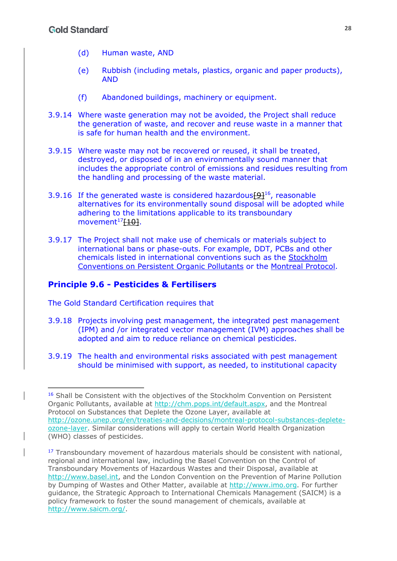- (d) Human waste, AND
- (e) Rubbish (including metals, plastics, organic and paper products), AND
- (f) Abandoned buildings, machinery or equipment.
- 3.9.14 Where waste generation may not be avoided, the Project shall reduce the generation of waste, and recover and reuse waste in a manner that is safe for human health and the environment.
- 3.9.15 Where waste may not be recovered or reused, it shall be treated, destroyed, or disposed of in an environmentally sound manner that includes the appropriate control of emissions and residues resulting from the handling and processing of the waste material.
- 3.9.16 If the generated waste is considered hazardous  $[9]$ <sup>16</sup>, reasonable alternatives for its environmentally sound disposal will be adopted while adhering to the limitations applicable to its transboundary movement $17$ [10].
- 3.9.17 The Project shall not make use of chemicals or materials subject to international bans or phase-outs. For example, DDT, PCBs and other chemicals listed in international conventions such as the Stockholm Conventions on Persistent Organic Pollutants or the Montreal Protocol.

### **Principle 9.6 - Pesticides & Fertilisers**

The Gold Standard Certification requires that

- 3.9.18 Projects involving pest management, the integrated pest management (IPM) and /or integrated vector management (IVM) approaches shall be adopted and aim to reduce reliance on chemical pesticides.
- 3.9.19 The health and environmental risks associated with pest management should be minimised with support, as needed, to institutional capacity

<sup>&</sup>lt;sup>16</sup> Shall be Consistent with the objectives of the Stockholm Convention on Persistent Organic Pollutants, available at http://chm.pops.int/default.aspx, and the Montreal Protocol on Substances that Deplete the Ozone Layer, available at http://ozone.unep.org/en/treaties-and-decisions/montreal-protocol-substances-depleteozone-layer. Similar considerations will apply to certain World Health Organization (WHO) classes of pesticides.

<sup>&</sup>lt;sup>17</sup> Transboundary movement of hazardous materials should be consistent with national, regional and international law, including the Basel Convention on the Control of Transboundary Movements of Hazardous Wastes and their Disposal, available at http://www.basel.int, and the London Convention on the Prevention of Marine Pollution by Dumping of Wastes and Other Matter, available at http://www.imo.org. For further guidance, the Strategic Approach to International Chemicals Management (SAICM) is a policy framework to foster the sound management of chemicals, available at http://www.saicm.org/.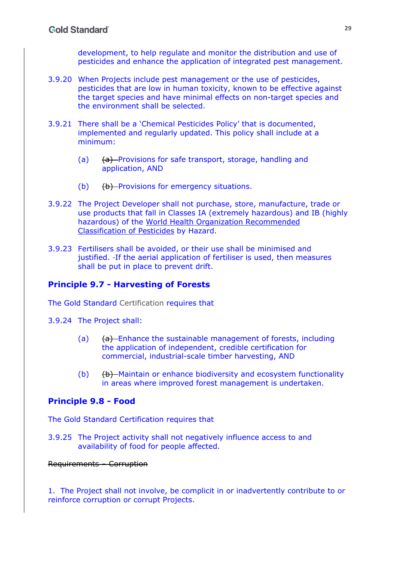development, to help regulate and monitor the distribution and use of pesticides and enhance the application of integrated pest management.

- 3.9.20 When Projects include pest management or the use of pesticides, pesticides that are low in human toxicity, known to be effective against the target species and have minimal effects on non-target species and the environment shall be selected.
- 3.9.21 There shall be a 'Chemical Pesticides Policy' that is documented, implemented and regularly updated. This policy shall include at a minimum:
	- (a) (a) Provisions for safe transport, storage, handling and application, AND
	- $(b)$   $(b)$  Provisions for emergency situations.
- 3.9.22 The Project Developer shall not purchase, store, manufacture, trade or use products that fall in Classes IA (extremely hazardous) and IB (highly hazardous) of the World Health Organization Recommended Classification of Pesticides by Hazard.
- 3.9.23 Fertilisers shall be avoided, or their use shall be minimised and justified. If the aerial application of fertiliser is used, then measures shall be put in place to prevent drift.

### **Principle 9.7 - Harvesting of Forests**

The Gold Standard Certification requires that

- 3.9.24 The Project shall:
	- (a)  $(a)$  Enhance the sustainable management of forests, including the application of independent, credible certification for commercial, industrial-scale timber harvesting, AND
	- (b) (b) Maintain or enhance biodiversity and ecosystem functionality in areas where improved forest management is undertaken.

### **Principle 9.8 - Food**

The Gold Standard Certification requires that

3.9.25 The Project activity shall not negatively influence access to and availability of food for people affected.

Requirements – Corruption

1. The Project shall not involve, be complicit in or inadvertently contribute to or reinforce corruption or corrupt Projects.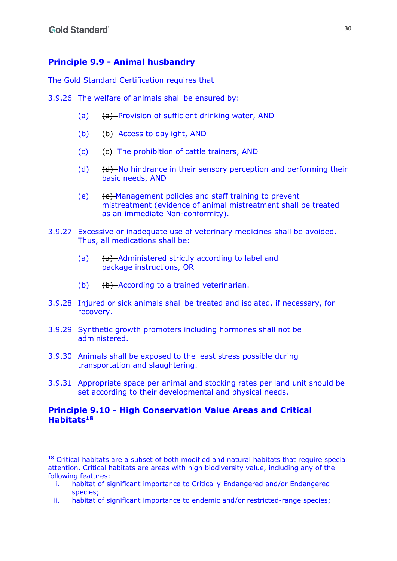### **Principle 9.9 - Animal husbandry**

The Gold Standard Certification requires that

- 3.9.26 The welfare of animals shall be ensured by:
	- (a) (a) Provision of sufficient drinking water, AND
	- (b) (b) Access to daylight, AND
	- (c)  $(e)$  The prohibition of cattle trainers, AND
	- (d)  $(d)$   $(d)$  No hindrance in their sensory perception and performing their basic needs, AND
	- (e) (e) Management policies and staff training to prevent mistreatment (evidence of animal mistreatment shall be treated as an immediate Non-conformity).
- 3.9.27 Excessive or inadequate use of veterinary medicines shall be avoided. Thus, all medications shall be:
	- (a) (a) Administered strictly according to label and package instructions, OR
	- (b)  $(b)$   $(b)$  -According to a trained veterinarian.
- 3.9.28 Injured or sick animals shall be treated and isolated, if necessary, for recovery.
- 3.9.29 Synthetic growth promoters including hormones shall not be administered.
- 3.9.30 Animals shall be exposed to the least stress possible during transportation and slaughtering.
- 3.9.31 Appropriate space per animal and stocking rates per land unit should be set according to their developmental and physical needs.

#### **Principle 9.10 - High Conservation Value Areas and Critical Habitats18**

 $18$  Critical habitats are a subset of both modified and natural habitats that require special attention. Critical habitats are areas with high biodiversity value, including any of the following features:

i. habitat of significant importance to Critically Endangered and/or Endangered species;

ii. habitat of significant importance to endemic and/or restricted-range species;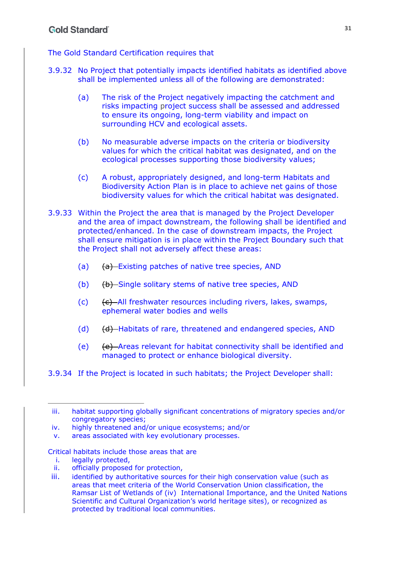The Gold Standard Certification requires that

- 3.9.32 No Project that potentially impacts identified habitats as identified above shall be implemented unless all of the following are demonstrated:
	- (a) The risk of the Project negatively impacting the catchment and risks impacting project success shall be assessed and addressed to ensure its ongoing, long-term viability and impact on surrounding HCV and ecological assets.
	- (b) No measurable adverse impacts on the criteria or biodiversity values for which the critical habitat was designated, and on the ecological processes supporting those biodiversity values;
	- (c) A robust, appropriately designed, and long-term Habitats and Biodiversity Action Plan is in place to achieve net gains of those biodiversity values for which the critical habitat was designated.
- 3.9.33 Within the Project the area that is managed by the Project Developer and the area of impact downstream, the following shall be identified and protected/enhanced. In the case of downstream impacts, the Project shall ensure mitigation is in place within the Project Boundary such that the Project shall not adversely affect these areas:
	- (a) (a) Existing patches of native tree species, AND
	- (b) (b) Single solitary stems of native tree species, AND
	- (c)  $\left\{ \epsilon \right\}$  -All freshwater resources including rivers, lakes, swamps, ephemeral water bodies and wells
	- (d)  $(d)$  Habitats of rare, threatened and endangered species, AND
	- (e) (e) Areas relevant for habitat connectivity shall be identified and managed to protect or enhance biological diversity.
- 3.9.34 If the Project is located in such habitats; the Project Developer shall:

v. areas associated with key evolutionary processes.

#### Critical habitats include those areas that are

- i. legally protected,
- ii. officially proposed for protection,
- iii. identified by authoritative sources for their high conservation value (such as areas that meet criteria of the World Conservation Union classification, the Ramsar List of Wetlands of (iv) International Importance, and the United Nations Scientific and Cultural Organization's world heritage sites), or recognized as protected by traditional local communities.

iii. habitat supporting globally significant concentrations of migratory species and/or congregatory species;

iv. highly threatened and/or unique ecosystems; and/or